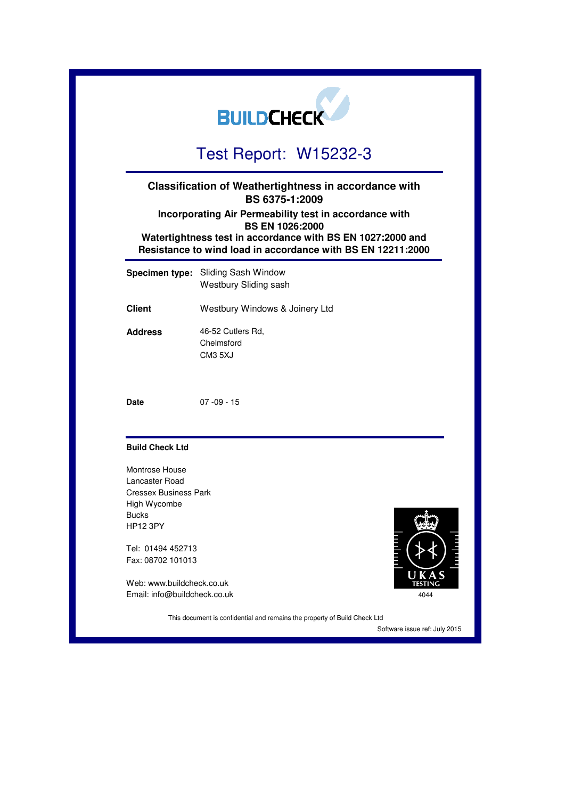|                                                                  | <b>BUILDCHECK</b>                                                                                                                                                                                             |      |
|------------------------------------------------------------------|---------------------------------------------------------------------------------------------------------------------------------------------------------------------------------------------------------------|------|
|                                                                  | Test Report: W15232-3                                                                                                                                                                                         |      |
|                                                                  | <b>Classification of Weathertightness in accordance with</b><br>BS 6375-1:2009                                                                                                                                |      |
|                                                                  | Incorporating Air Permeability test in accordance with<br><b>BS EN 1026:2000</b><br>Watertightness test in accordance with BS EN 1027:2000 and<br>Resistance to wind load in accordance with BS EN 12211:2000 |      |
| <b>Specimen type:</b>                                            | Sliding Sash Window<br>Westbury Sliding sash                                                                                                                                                                  |      |
| <b>Client</b>                                                    | Westbury Windows & Joinery Ltd                                                                                                                                                                                |      |
| <b>Address</b>                                                   | 46-52 Cutlers Rd,<br>Chelmsford<br>CM3 5XJ                                                                                                                                                                    |      |
| <b>Date</b>                                                      | $07 - 09 - 15$                                                                                                                                                                                                |      |
| <b>Build Check Ltd</b>                                           |                                                                                                                                                                                                               |      |
| <b>Montrose House</b><br>Lancaster Road<br>Cressex Business Park |                                                                                                                                                                                                               |      |
| High Wycombe                                                     |                                                                                                                                                                                                               |      |
| <b>Bucks</b><br><b>HP12 3PY</b>                                  |                                                                                                                                                                                                               |      |
| Tel: 01494 452713<br>Fax: 08702 101013                           |                                                                                                                                                                                                               |      |
| Web: www.buildcheck.co.uk<br>Email: info@buildcheck.co.uk        |                                                                                                                                                                                                               | 4044 |

This document is confidential and remains the property of Build Check Ltd

Software issue ref: July 2015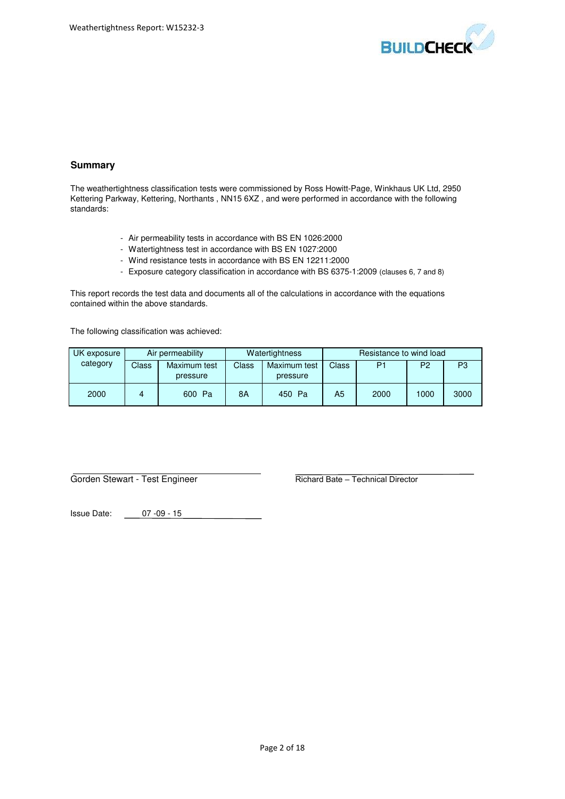

# **Summary**

The weathertightness classification tests were commissioned by Ross Howitt-Page, Winkhaus UK Ltd, 2950 Kettering Parkway, Kettering, Northants , NN15 6XZ , and were performed in accordance with the following standards:

- Air permeability tests in accordance with BS EN 1026:2000
- Watertightness test in accordance with BS EN 1027:2000
- Wind resistance tests in accordance with BS EN 12211:2000
- Exposure category classification in accordance with BS 6375-1:2009 (clauses 6, 7 and 8)

This report records the test data and documents all of the calculations in accordance with the equations contained within the above standards.

The following classification was achieved:

| UK exposure | Air permeability |                          | Watertightness |                          | Resistance to wind load |      |                |      |
|-------------|------------------|--------------------------|----------------|--------------------------|-------------------------|------|----------------|------|
| category    | Class            | Maximum test<br>pressure | Class          | Maximum test<br>pressure | Class                   | P1   | P <sub>2</sub> | P3   |
| 2000        |                  | 600 Pa                   | 8A             | Pa<br>450 -              | A5                      | 2000 | 1000           | 3000 |

Gorden Stewart - Test Engineer Richard Bate – Technical Director

Issue Date: 07 -09 - 15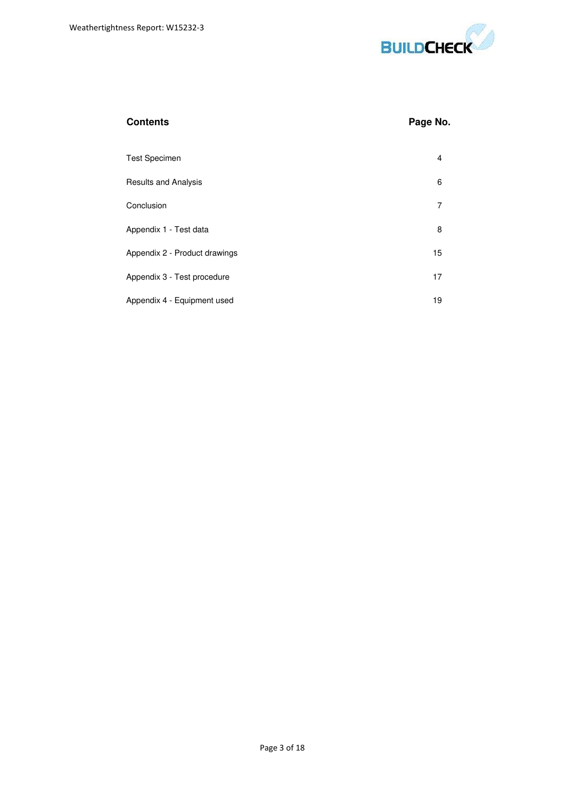

| Contents |  |
|----------|--|
|----------|--|

# **Page No.**

| <b>Test Specimen</b>          | 4  |
|-------------------------------|----|
| <b>Results and Analysis</b>   | 6  |
| Conclusion                    | 7  |
| Appendix 1 - Test data        | 8  |
| Appendix 2 - Product drawings | 15 |
| Appendix 3 - Test procedure   | 17 |
| Appendix 4 - Equipment used   | 19 |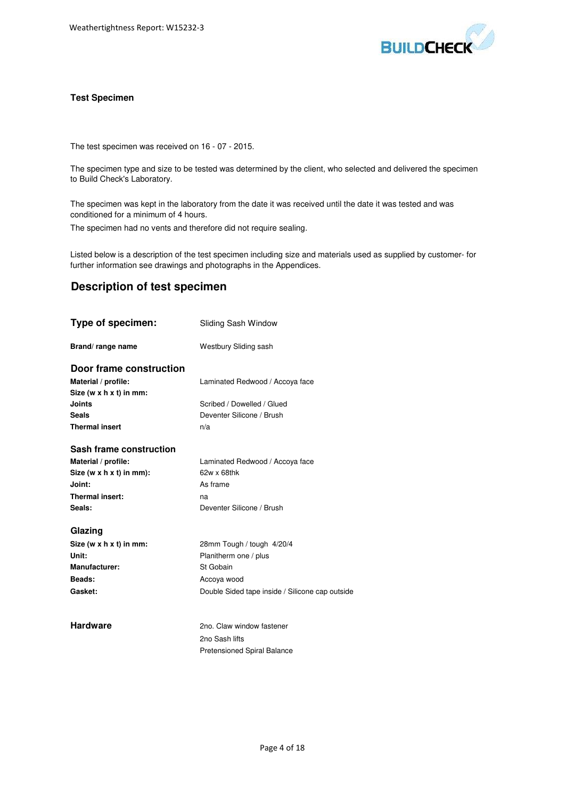

#### **Test Specimen**

The test specimen was received on 16 - 07 - 2015.

The specimen type and size to be tested was determined by the client, who selected and delivered the specimen to Build Check's Laboratory.

The specimen was kept in the laboratory from the date it was received until the date it was tested and was conditioned for a minimum of 4 hours.

The specimen had no vents and therefore did not require sealing.

Listed below is a description of the test specimen including size and materials used as supplied by customer- for further information see drawings and photographs in the Appendices.

# **Description of test specimen**

| Type of specimen:          | Sliding Sash Window                             |
|----------------------------|-------------------------------------------------|
| Brand/range name           | Westbury Sliding sash                           |
| Door frame construction    |                                                 |
| Material / profile:        | Laminated Redwood / Accoya face                 |
| Size (w $x h x t$ ) in mm: |                                                 |
| Joints                     | Scribed / Dowelled / Glued                      |
| Seals                      | Deventer Silicone / Brush                       |
| <b>Thermal insert</b>      | n/a                                             |
| Sash frame construction    |                                                 |
| Material / profile:        | Laminated Redwood / Accoya face                 |
| Size (w x h x t) in mm):   | $62w \times 68$ thk                             |
| Joint:                     | As frame                                        |
| Thermal insert:            | na                                              |
| Seals:                     | Deventer Silicone / Brush                       |
| Glazing                    |                                                 |
| Size (w x h x t) in mm:    | 28mm Tough / tough 4/20/4                       |
| Unit:                      | Planitherm one / plus                           |
| Manufacturer:              | St Gobain                                       |
| Beads:                     | Accoya wood                                     |
| Gasket:                    | Double Sided tape inside / Silicone cap outside |
|                            |                                                 |
| <b>Hardware</b>            | 2no. Claw window fastener                       |
|                            | 2no Sash lifts                                  |
|                            | <b>Pretensioned Spiral Balance</b>              |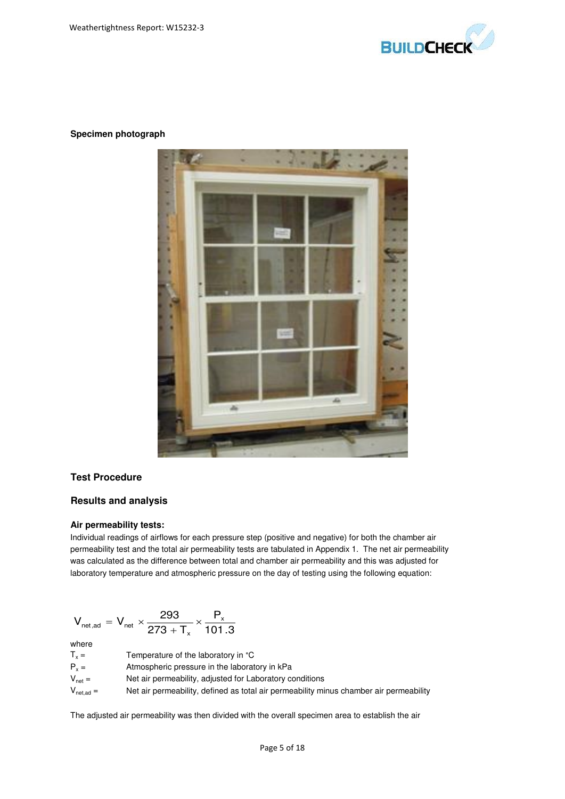

## **Specimen photograph**



#### **Test Procedure**

## **Results and analysis**

#### **Air permeability tests:**

Individual readings of airflows for each pressure step (positive and negative) for both the chamber air permeability test and the total air permeability tests are tabulated in Appendix 1. The net air permeability was calculated as the difference between total and chamber air permeability and this was adjusted for laboratory temperature and atmospheric pressure on the day of testing using the following equation:

$$
V_{\text{net},\text{ad}} = V_{\text{net}} \times \frac{293}{273 + T_{x}} \times \frac{P_{x}}{101.3}
$$
  
where  
 $T_{x} =$  Temperature of the laboratory in °C  
 $P_{x} =$  Amperature of the laboratory in °C  
 $V_{\text{net}} =$  Antnospheric pressure in the laboratory in kPa  
 $V_{\text{net},\text{ad}} =$  Net air permeability, adjusted for Laboratory conditions  
 $V_{\text{net},\text{ad}} =$  Net air permeability, defined as total air permeability minus chamber air permeability

The adjusted air permeability was then divided with the overall specimen area to establish the air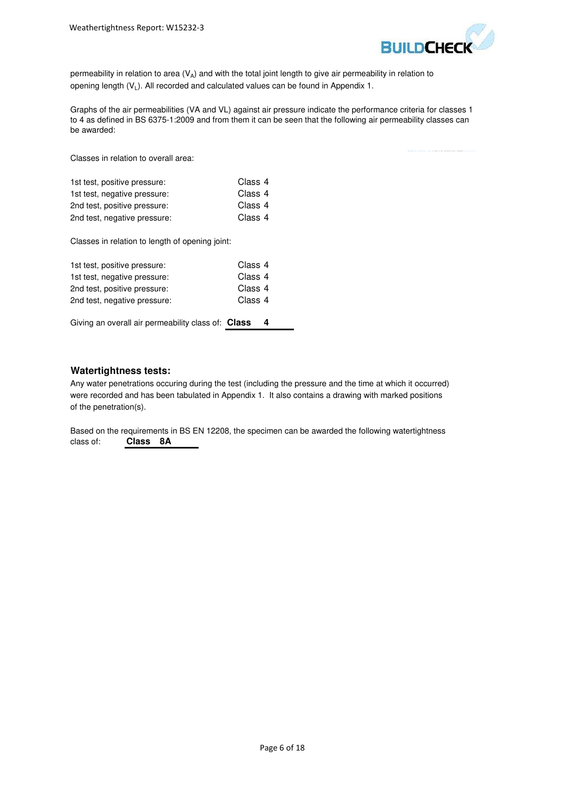

permeability in relation to area  $(V_A)$  and with the total joint length to give air permeability in relation to opening length  $(V_L)$ . All recorded and calculated values can be found in Appendix 1.

Graphs of the air permeabilities (VA and VL) against air pressure indicate the performance criteria for classes 1 to 4 as defined in BS 6375-1:2009 and from them it can be seen that the following air permeability classes can be awarded:

Classes in relation to overall area:

| 1st test, positive pressure: | Class 4 |
|------------------------------|---------|
| 1st test, negative pressure: | Class 4 |
| 2nd test, positive pressure: | Class 4 |
| 2nd test, negative pressure: | Class 4 |

Classes in relation to length of opening joint:

| 1st test, positive pressure: | Class 4 |
|------------------------------|---------|
| 1st test, negative pressure: | Class 4 |
| 2nd test, positive pressure: | Class 4 |
| 2nd test, negative pressure: | Class 4 |
|                              |         |

Giving an overall air permeability class of: **Class 4**

#### **Watertightness tests:**

Any water penetrations occuring during the test (including the pressure and the time at which it occurred) were recorded and has been tabulated in Appendix 1. It also contains a drawing with marked positions of the penetration(s).

Based on the requirements in BS EN 12208, the specimen can be awarded the following watertightness class of: **Class 8A**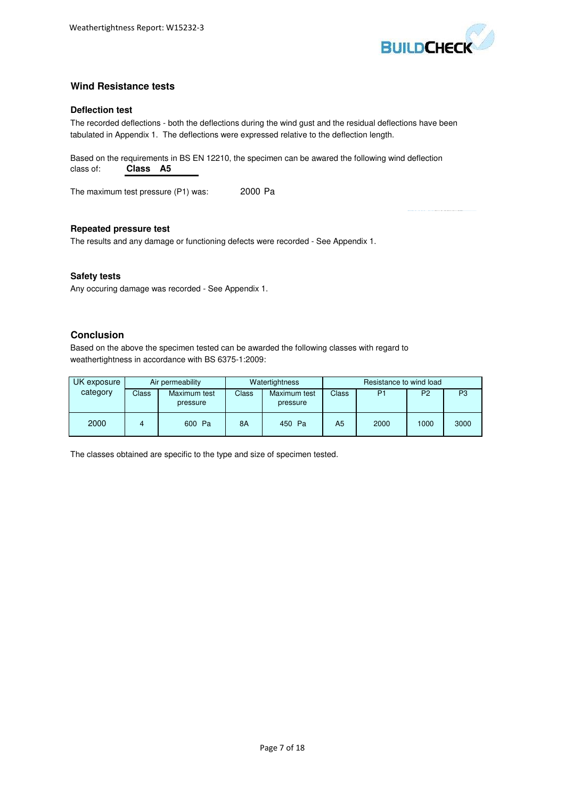

# **Wind Resistance tests**

## **Deflection test**

The recorded deflections - both the deflections during the wind gust and the residual deflections have been tabulated in Appendix 1. The deflections were expressed relative to the deflection length.

Based on the requirements in BS EN 12210, the specimen can be awared the following wind deflection class of: **Class A5**

The maximum test pressure (P1) was: 2000 Pa

**Repeated pressure test**

The results and any damage or functioning defects were recorded - See Appendix 1.

## **Safety tests**

Any occuring damage was recorded - See Appendix 1.

# **Conclusion**

Based on the above the specimen tested can be awarded the following classes with regard to weathertightness in accordance with BS 6375-1:2009:

| UK exposure | Air permeability |                          | Watertightness |                          | Resistance to wind load |                |                |      |
|-------------|------------------|--------------------------|----------------|--------------------------|-------------------------|----------------|----------------|------|
| category    | Class            | Maximum test<br>pressure | Class          | Maximum test<br>pressure | <b>Class</b>            | P <sub>1</sub> | P <sub>2</sub> | P3   |
| 2000        |                  | 600 Pa                   | <b>8A</b>      | 450 Pa                   | A5                      | 2000           | 1000           | 3000 |

The classes obtained are specific to the type and size of specimen tested.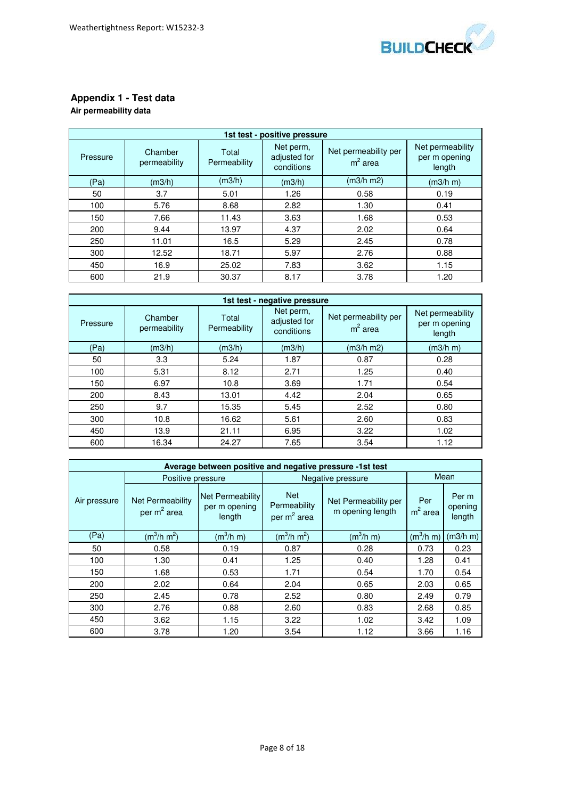

# **Appendix 1 - Test data**

# **Air permeability data**

| 1st test - positive pressure |                         |                       |                                         |                                   |                                             |  |  |  |
|------------------------------|-------------------------|-----------------------|-----------------------------------------|-----------------------------------|---------------------------------------------|--|--|--|
| Pressure                     | Chamber<br>permeability | Total<br>Permeability | Net perm,<br>adjusted for<br>conditions | Net permeability per<br>$m2$ area | Net permeability<br>per m opening<br>length |  |  |  |
| (Pa)                         | (m3/h)                  | (m3/h)                | (m3/h)                                  | (m3/h m2)                         | (m3/h m)                                    |  |  |  |
| 50                           | 3.7                     | 5.01                  | 1.26                                    | 0.58                              | 0.19                                        |  |  |  |
| 100                          | 5.76                    | 8.68                  | 2.82                                    | 1.30                              | 0.41                                        |  |  |  |
| 150                          | 7.66                    | 11.43                 | 3.63                                    | 1.68                              | 0.53                                        |  |  |  |
| 200                          | 9.44                    | 13.97                 | 4.37                                    | 2.02                              | 0.64                                        |  |  |  |
| 250                          | 11.01                   | 16.5                  | 5.29                                    | 2.45                              | 0.78                                        |  |  |  |
| 300                          | 12.52                   | 18.71                 | 5.97                                    | 2.76                              | 0.88                                        |  |  |  |
| 450                          | 16.9                    | 25.02                 | 7.83                                    | 3.62                              | 1.15                                        |  |  |  |
| 600                          | 21.9                    | 30.37                 | 8.17                                    | 3.78                              | 1.20                                        |  |  |  |

| 1st test - negative pressure |                         |                       |                                         |                                   |                                             |  |  |  |
|------------------------------|-------------------------|-----------------------|-----------------------------------------|-----------------------------------|---------------------------------------------|--|--|--|
| Pressure                     | Chamber<br>permeability | Total<br>Permeability | Net perm,<br>adjusted for<br>conditions | Net permeability per<br>$m2$ area | Net permeability<br>per m opening<br>length |  |  |  |
| (Pa)                         | (m3/h)                  | (m3/h)                | (m3/h)                                  | (m3/h m2)                         | (m3/h m)                                    |  |  |  |
| 50                           | 3.3                     | 5.24                  | 1.87                                    | 0.87                              | 0.28                                        |  |  |  |
| 100                          | 5.31                    | 8.12                  | 2.71                                    | 1.25                              | 0.40                                        |  |  |  |
| 150                          | 6.97                    | 10.8                  | 3.69                                    | 1.71                              | 0.54                                        |  |  |  |
| 200                          | 8.43                    | 13.01                 | 4.42                                    | 2.04                              | 0.65                                        |  |  |  |
| 250                          | 9.7                     | 15.35                 | 5.45                                    | 2.52                              | 0.80                                        |  |  |  |
| 300                          | 10.8                    | 16.62                 | 5.61                                    | 2.60                              | 0.83                                        |  |  |  |
| 450                          | 13.9                    | 21.11                 | 6.95                                    | 3.22                              | 1.02                                        |  |  |  |
| 600                          | 16.34                   | 24.27                 | 7.65                                    | 3.54                              | 1.12                                        |  |  |  |

| Average between positive and negative pressure -1st test |                                    |                                                    |                                                       |                                          |                  |                            |  |  |
|----------------------------------------------------------|------------------------------------|----------------------------------------------------|-------------------------------------------------------|------------------------------------------|------------------|----------------------------|--|--|
|                                                          | Positive pressure                  |                                                    |                                                       | Negative pressure                        | Mean             |                            |  |  |
| Air pressure                                             | Net Permeability<br>per $m^2$ area | <b>Net Permeability</b><br>per m opening<br>length | <b>Net</b><br>Permeability<br>per m <sup>2</sup> area | Net Permeability per<br>m opening length | Per<br>$m2$ area | Per m<br>opening<br>length |  |  |
| (Pa)                                                     | $(m^3/h \, m^2)$                   | $(m^3/h m)$                                        | $(m^3/h m^2)$                                         | $(m^3/h \, m)$                           | $(m^3/h \, m)$   | (m3/h m)                   |  |  |
| 50                                                       | 0.58                               | 0.19                                               | 0.87                                                  | 0.28                                     | 0.73             | 0.23                       |  |  |
| 100                                                      | 1.30                               | 0.41                                               | 1.25                                                  | 0.40                                     | 1.28             | 0.41                       |  |  |
| 150                                                      | 1.68                               | 0.53                                               | 1.71                                                  | 0.54                                     | 1.70             | 0.54                       |  |  |
| 200                                                      | 2.02                               | 0.64                                               | 2.04                                                  | 0.65                                     | 2.03             | 0.65                       |  |  |
| 250                                                      | 2.45                               | 0.78                                               | 2.52                                                  | 0.80                                     | 2.49             | 0.79                       |  |  |
| 300                                                      | 2.76                               | 0.88                                               | 2.60                                                  | 0.83                                     | 2.68             | 0.85                       |  |  |
| 450                                                      | 3.62                               | 1.15                                               | 3.22                                                  | 1.02                                     | 3.42             | 1.09                       |  |  |
| 600                                                      | 3.78                               | 1.20                                               | 3.54                                                  | 1.12                                     | 3.66             | 1.16                       |  |  |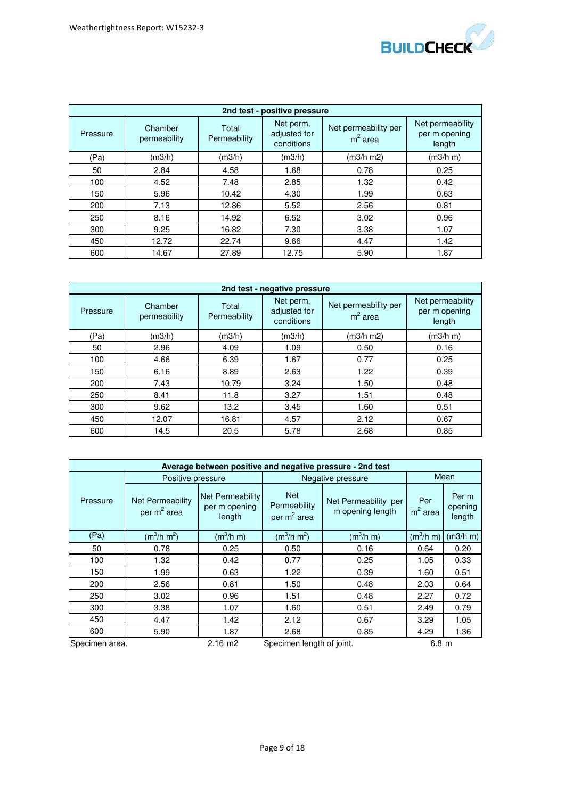

| 2nd test - positive pressure |                         |                       |                                         |                                   |                                             |  |  |  |
|------------------------------|-------------------------|-----------------------|-----------------------------------------|-----------------------------------|---------------------------------------------|--|--|--|
| Pressure                     | Chamber<br>permeability | Total<br>Permeability | Net perm,<br>adjusted for<br>conditions | Net permeability per<br>$m2$ area | Net permeability<br>per m opening<br>length |  |  |  |
| (Pa)                         | (m3/h)                  | (m3/h)                | (m3/h)                                  | (m3/h m2)                         | (m3/h m)                                    |  |  |  |
| 50                           | 2.84                    | 4.58                  | 1.68                                    | 0.78                              | 0.25                                        |  |  |  |
| 100                          | 4.52                    | 7.48                  | 2.85                                    | 1.32                              | 0.42                                        |  |  |  |
| 150                          | 5.96                    | 10.42                 | 4.30                                    | 1.99                              | 0.63                                        |  |  |  |
| 200                          | 7.13                    | 12.86                 | 5.52                                    | 2.56                              | 0.81                                        |  |  |  |
| 250                          | 8.16                    | 14.92                 | 6.52                                    | 3.02                              | 0.96                                        |  |  |  |
| 300                          | 9.25                    | 16.82                 | 7.30                                    | 3.38                              | 1.07                                        |  |  |  |
| 450                          | 12.72                   | 22.74                 | 9.66                                    | 4.47                              | 1.42                                        |  |  |  |
| 600                          | 14.67                   | 27.89                 | 12.75                                   | 5.90                              | 1.87                                        |  |  |  |

| 2nd test - negative pressure |                         |                       |                                         |                                   |                                             |  |  |  |
|------------------------------|-------------------------|-----------------------|-----------------------------------------|-----------------------------------|---------------------------------------------|--|--|--|
| Pressure                     | Chamber<br>permeability | Total<br>Permeability | Net perm,<br>adjusted for<br>conditions | Net permeability per<br>$m2$ area | Net permeability<br>per m opening<br>length |  |  |  |
| (Pa)                         | (m3/h)                  | (m3/h)                | (m3/h)                                  | (m3/h m2)                         | (m3/h m)                                    |  |  |  |
| 50                           | 2.96                    | 4.09                  | 1.09                                    | 0.50                              | 0.16                                        |  |  |  |
| 100                          | 4.66                    | 6.39                  | 1.67                                    | 0.77                              | 0.25                                        |  |  |  |
| 150                          | 6.16                    | 8.89                  | 2.63                                    | 1.22                              | 0.39                                        |  |  |  |
| 200                          | 7.43                    | 10.79                 | 3.24                                    | 1.50                              | 0.48                                        |  |  |  |
| 250                          | 8.41                    | 11.8                  | 3.27                                    | 1.51                              | 0.48                                        |  |  |  |
| 300                          | 9.62                    | 13.2                  | 3.45                                    | 1.60                              | 0.51                                        |  |  |  |
| 450                          | 12.07                   | 16.81                 | 4.57                                    | 2.12                              | 0.67                                        |  |  |  |
| 600                          | 14.5                    | 20.5                  | 5.78                                    | 2.68                              | 0.85                                        |  |  |  |

| Average between positive and negative pressure - 2nd test |                                             |                                             |                                                       |                                          |                       |                            |  |  |
|-----------------------------------------------------------|---------------------------------------------|---------------------------------------------|-------------------------------------------------------|------------------------------------------|-----------------------|----------------------------|--|--|
|                                                           | Positive pressure                           |                                             | Negative pressure                                     | Mean                                     |                       |                            |  |  |
| Pressure                                                  | Net Permeability<br>per m <sup>2</sup> area | Net Permeability<br>per m opening<br>length | <b>Net</b><br>Permeability<br>per m <sup>2</sup> area | Net Permeability per<br>m opening length | Per<br>$m2$ area      | Per m<br>opening<br>length |  |  |
| (Pa)                                                      | $(m^3/h \, m^2)$                            | $(m^3/h \, m)$                              | $(m^3/h m^2)$                                         | $(m^3/h m)$                              | (m <sup>3</sup> /h m) | (m3/h m)                   |  |  |
| 50                                                        | 0.78                                        | 0.25                                        | 0.50                                                  | 0.16                                     | 0.64                  | 0.20                       |  |  |
| 100                                                       | 1.32                                        | 0.42                                        | 0.77                                                  | 0.25                                     | 1.05                  | 0.33                       |  |  |
| 150                                                       | 1.99                                        | 0.63                                        | 1.22                                                  | 0.39                                     | 1.60                  | 0.51                       |  |  |
| 200                                                       | 2.56                                        | 0.81                                        | 1.50                                                  | 0.48                                     | 2.03                  | 0.64                       |  |  |
| 250                                                       | 3.02                                        | 0.96                                        | 1.51                                                  | 0.48                                     | 2.27                  | 0.72                       |  |  |
| 300                                                       | 3.38                                        | 1.07                                        | 1.60                                                  | 0.51                                     | 2.49                  | 0.79                       |  |  |
| 450                                                       | 4.47                                        | 1.42                                        | 2.12                                                  | 0.67                                     | 3.29                  | 1.05                       |  |  |
| 600                                                       | 5.90                                        | 1.87                                        | 2.68                                                  | 0.85                                     | 4.29                  | 1.36                       |  |  |
| Specimen area.                                            |                                             | $2.16$ m $2$                                | Specimen length of joint.                             | 6.8 <sub>m</sub>                         |                       |                            |  |  |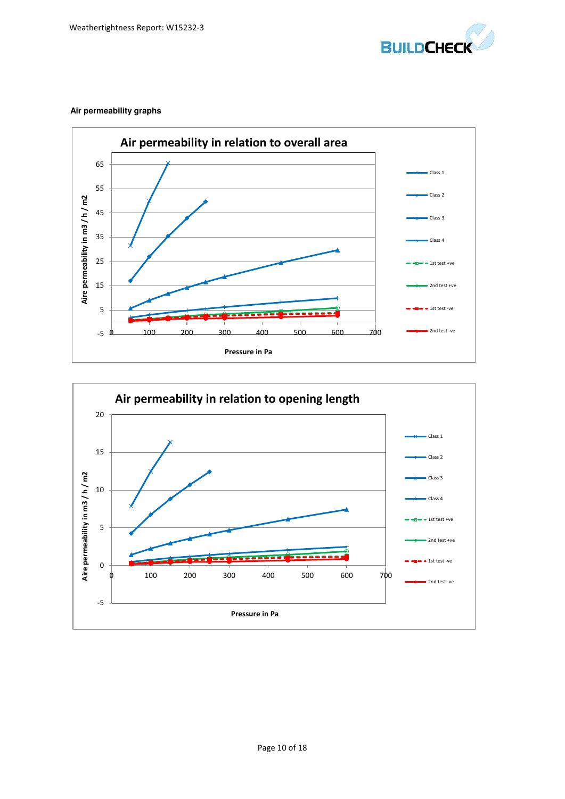

# **Air permeability graphs**



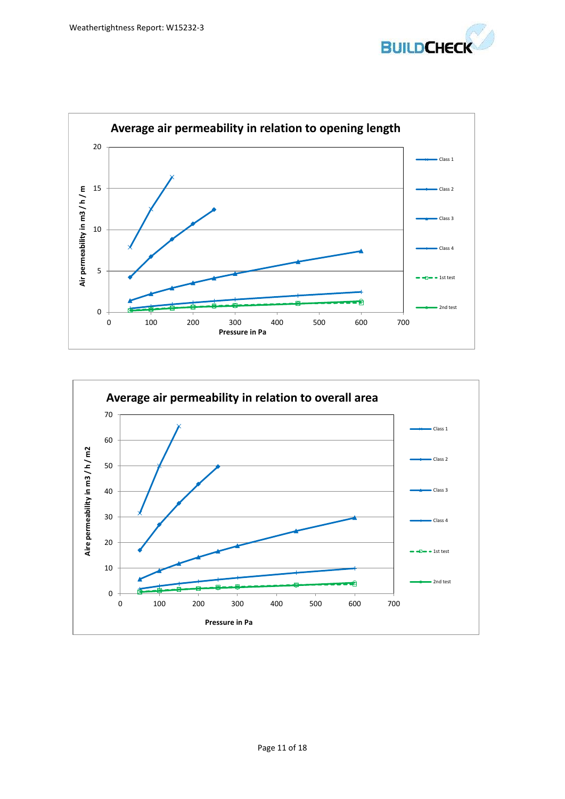



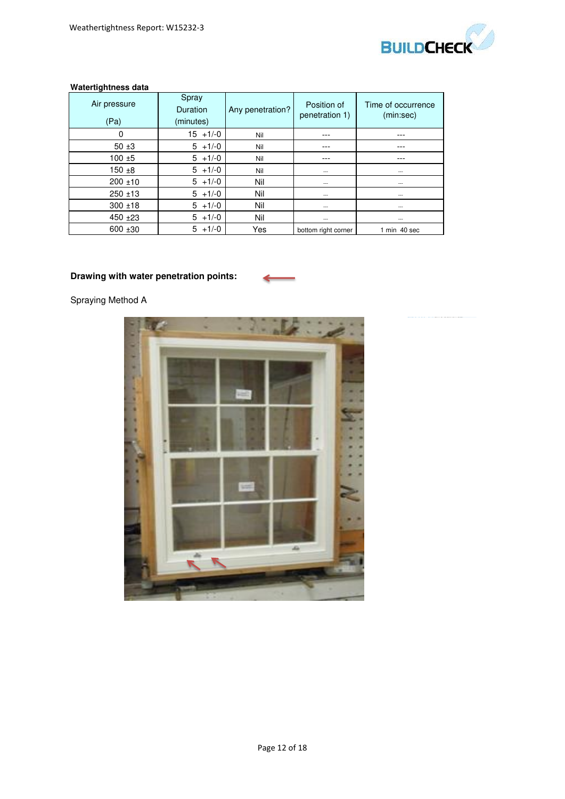

# **Watertightness data**

| Air pressure<br>(Pa) | Spray<br><b>Duration</b><br>(minutes) | Any penetration? | Position of<br>penetration 1) | Time of occurrence<br>(min:sec) |  |
|----------------------|---------------------------------------|------------------|-------------------------------|---------------------------------|--|
| 0                    | $15 + 1/-0$                           | Nil              | ---                           | ---                             |  |
| 50 $\pm$ 3           | $5 + 1/-0$                            | Nil              |                               | ---                             |  |
| $100 + 5$            | $5 + 1/-0$                            | Nil              |                               | ---                             |  |
| $150 + 8$            | $5 + 1/-0$                            | Nil              | ---                           | $\overline{a}$                  |  |
| $200 + 10$           | $5 + 1/-0$                            | Nil              | $---$                         | ---                             |  |
| $250 + 13$           | $5 + 1/-0$                            | Nil              | $---$                         | ---                             |  |
| $300 + 18$           | $5 + 1/-0$                            | Nil              | ---                           | $---$                           |  |
| $450 + 23$           | $5 + 1/-0$                            | Nil              | ---                           | ---                             |  |
| $600 + 30$           | $5 + 1/-0$                            | Yes              | bottom right corner           | 1 min 40 sec                    |  |

# **Drawing with water penetration points:**

Spraying Method A

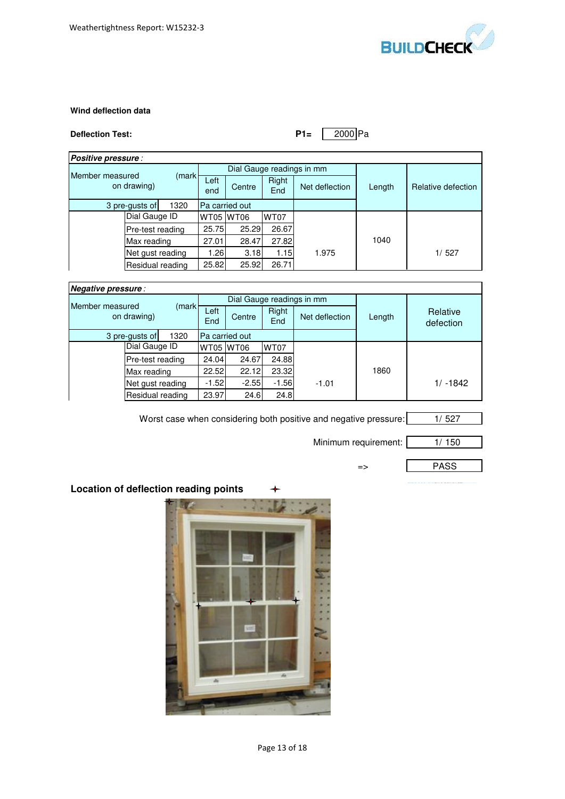

# **Wind deflection data**

# **Deflection Test: P1=** 2000 Pa

| Positive pressure :                      |                  |                  |                           |              |                |        |                    |  |
|------------------------------------------|------------------|------------------|---------------------------|--------------|----------------|--------|--------------------|--|
| Member measured<br>(markl<br>on drawing) |                  |                  | Dial Gauge readings in mm |              |                |        |                    |  |
|                                          |                  | Left<br>end      | Centre                    | Right<br>End | Net deflection | Length | Relative defection |  |
| 1320<br>3 pre-gusts of                   |                  | Pa carried out   |                           |              |                |        |                    |  |
|                                          | Dial Gauge ID    |                  | <b>WT05 WT06</b>          |              | <b>WT07</b>    |        |                    |  |
|                                          |                  | Pre-test reading | 25.75                     | 25.29        | 26.67          |        |                    |  |
|                                          | Max reading      |                  | 27.01                     | 28.47        | 27.82          |        | 1040               |  |
| Net gust reading                         |                  | 1.26             | 3.18                      | 1.15         | 1.975          |        | 1/527              |  |
|                                          | Residual reading |                  | 25.82                     | 25.92        | 26.71          |        |                    |  |

| Negative pressure:             |                  |                  |             |                           |              |                |        |                       |
|--------------------------------|------------------|------------------|-------------|---------------------------|--------------|----------------|--------|-----------------------|
|                                |                  |                  |             | Dial Gauge readings in mm |              |                |        |                       |
| Member measured<br>on drawing) |                  | (markl           | Left<br>End | Centre                    | Right<br>End | Net deflection | Length | Relative<br>defection |
| 1320<br>3 pre-gusts of         |                  | Pa carried out   |             |                           |              |                |        |                       |
|                                | Dial Gauge ID    |                  |             | <b>WT05 WT06</b>          | <b>WT07</b>  |                |        |                       |
|                                | Pre-test reading |                  | 24.04       | 24.67                     | 24.88        |                |        |                       |
|                                | Max reading      |                  | 22.52       | 22.12                     | 23.32        |                | 1860   |                       |
|                                |                  | Net gust reading | $-1.52$     | $-2.55$                   | $-1.56$      | $-1.01$        |        | $1/ -1842$            |
|                                |                  | Residual reading | 23.97       | 24.6                      | 24.8         |                |        |                       |

Worst case when considering both positive and negative pressure: 1/527

Minimum requirement: 1/ 150

PASS

=>

**Location of deflection reading points**

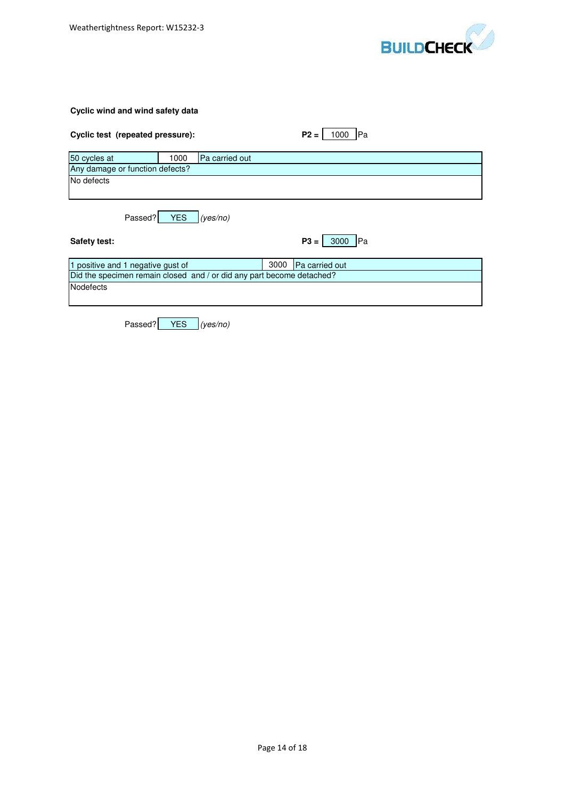

# **Cyclic wind and wind safety data**

| Cyclic test (repeated pressure):                                      | $P2 =$<br>lPa<br>1000        |
|-----------------------------------------------------------------------|------------------------------|
| 50 cycles at<br>Pa carried out<br>1000                                |                              |
| Any damage or function defects?                                       |                              |
| No defects                                                            |                              |
| <b>YES</b><br>Passed?<br>(yes/no)                                     |                              |
| Safety test:                                                          | $P3 =$<br><b>IPa</b><br>3000 |
|                                                                       |                              |
| 1 positive and 1 negative gust of                                     | 3000<br>Pa carried out       |
| Did the specimen remain closed and / or did any part become detached? |                              |
| Nodefects                                                             |                              |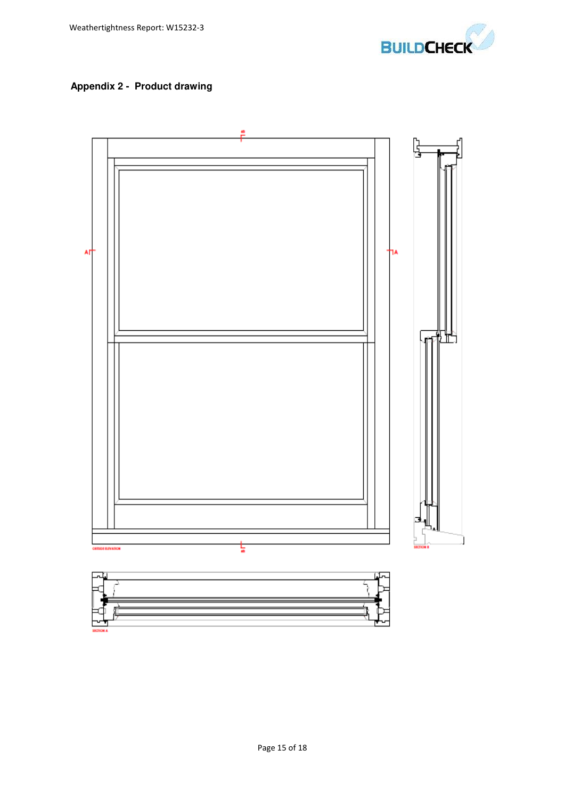

# **Appendix 2 - Product drawing**

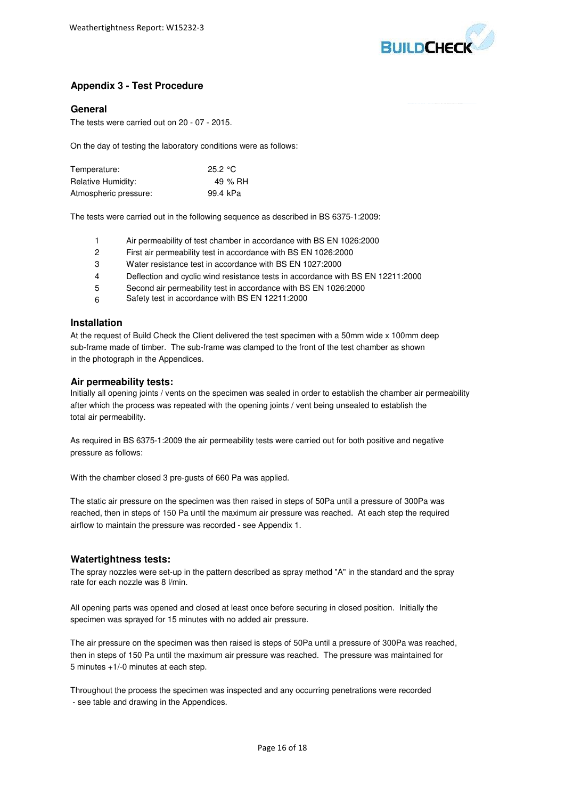

# **Appendix 3 - Test Procedure**

#### **General**

The tests were carried out on 20 - 07 - 2015.

On the day of testing the laboratory conditions were as follows:

| Temperature:          | 25.2 $^{\circ}$ C |
|-----------------------|-------------------|
| Relative Humidity:    | 49 % RH           |
| Atmospheric pressure: | 99.4 kPa          |

The tests were carried out in the following sequence as described in BS 6375-1:2009:

- 1 Air permeability of test chamber in accordance with BS EN 1026:2000
- 2 First air permeability test in accordance with BS EN 1026:2000
- 3 Water resistance test in accordance with BS EN 1027:2000
- 4 Deflection and cyclic wind resistance tests in accordance with BS EN 12211:2000
- 5 Second air permeability test in accordance with BS EN 1026:2000
- 6 Safety test in accordance with BS EN 12211:2000

#### **Installation**

At the request of Build Check the Client delivered the test specimen with a 50mm wide x 100mm deep sub-frame made of timber. The sub-frame was clamped to the front of the test chamber as shown in the photograph in the Appendices.

#### **Air permeability tests:**

Initially all opening joints / vents on the specimen was sealed in order to establish the chamber air permeability after which the process was repeated with the opening joints / vent being unsealed to establish the total air permeability.

pressure as follows: As required in BS 6375-1:2009 the air permeability tests were carried out for both positive and negative

With the chamber closed 3 pre-gusts of 660 Pa was applied.

The static air pressure on the specimen was then raised in steps of 50Pa until a pressure of 300Pa was reached, then in steps of 150 Pa until the maximum air pressure was reached. At each step the required airflow to maintain the pressure was recorded - see Appendix 1.

#### **Watertightness tests:**

The spray nozzles were set-up in the pattern described as spray method "A" in the standard and the spray rate for each nozzle was 8 l/min.

specimen was sprayed for 15 minutes with no added air pressure. All opening parts was opened and closed at least once before securing in closed position. Initially the

The air pressure on the specimen was then raised is steps of 50Pa until a pressure of 300Pa was reached, then in steps of 150 Pa until the maximum air pressure was reached. The pressure was maintained for 5 minutes +1/-0 minutes at each step.

Throughout the process the specimen was inspected and any occurring penetrations were recorded - see table and drawing in the Appendices.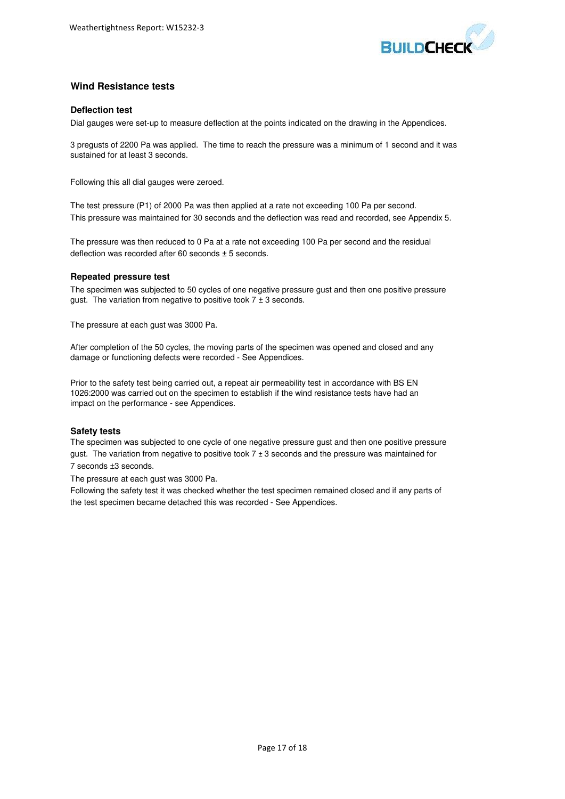

# **Wind Resistance tests**

#### **Deflection test**

Dial gauges were set-up to measure deflection at the points indicated on the drawing in the Appendices.

3 pregusts of 2200 Pa was applied. The time to reach the pressure was a minimum of 1 second and it was sustained for at least 3 seconds.

Following this all dial gauges were zeroed.

The test pressure (P1) of 2000 Pa was then applied at a rate not exceeding 100 Pa per second. This pressure was maintained for 30 seconds and the deflection was read and recorded, see Appendix 5.

The pressure was then reduced to 0 Pa at a rate not exceeding 100 Pa per second and the residual deflection was recorded after 60 seconds  $\pm$  5 seconds.

#### **Repeated pressure test**

The specimen was subjected to 50 cycles of one negative pressure gust and then one positive pressure gust. The variation from negative to positive took  $7 \pm 3$  seconds.

The pressure at each gust was 3000 Pa.

After completion of the 50 cycles, the moving parts of the specimen was opened and closed and any damage or functioning defects were recorded - See Appendices.

Prior to the safety test being carried out, a repeat air permeability test in accordance with BS EN 1026:2000 was carried out on the specimen to establish if the wind resistance tests have had an impact on the performance - see Appendices.

#### **Safety tests**

gust. The variation from negative to positive took  $7 \pm 3$  seconds and the pressure was maintained for 7 seconds ±3 seconds. The specimen was subjected to one cycle of one negative pressure gust and then one positive pressure

The pressure at each gust was 3000 Pa.

Following the safety test it was checked whether the test specimen remained closed and if any parts of the test specimen became detached this was recorded - See Appendices.